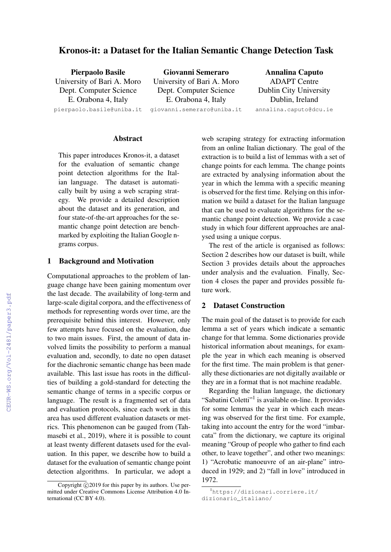# Kronos-it: a Dataset for the Italian Semantic Change Detection Task

| <b>Pierpaolo Basile</b>    | Giovanni Semeraro          | <b>Annalina Caputo</b>        |  |  |
|----------------------------|----------------------------|-------------------------------|--|--|
| University of Bari A. Moro | University of Bari A. Moro | <b>ADAPT Centre</b>           |  |  |
| Dept. Computer Science     | Dept. Computer Science     | <b>Dublin City University</b> |  |  |
| E. Orabona 4, Italy        | E. Orabona 4, Italy        | Dublin, Ireland               |  |  |
| pierpaolo.basile@uniba.it  | qiovanni.semeraro@uniba.it | annalina.caputo@dcu.ie        |  |  |
|                            |                            |                               |  |  |

#### Abstract

This paper introduces Kronos-it, a dataset for the evaluation of semantic change point detection algorithms for the Italian language. The dataset is automatically built by using a web scraping strategy. We provide a detailed description about the dataset and its generation, and four state-of-the-art approaches for the semantic change point detection are benchmarked by exploiting the Italian Google ngrams corpus.

# 1 Background and Motivation

Computational approaches to the problem of language change have been gaining momentum over the last decade. The availability of long-term and large-scale digital corpora, and the effectiveness of methods for representing words over time, are the prerequisite behind this interest. However, only few attempts have focused on the evaluation, due to two main issues. First, the amount of data involved limits the possibility to perform a manual evaluation and, secondly, to date no open dataset for the diachronic semantic change has been made available. This last issue has roots in the difficulties of building a gold-standard for detecting the semantic change of terms in a specific corpus or language. The result is a fragmented set of data and evaluation protocols, since each work in this area has used different evaluation datasets or metrics. This phenomenon can be gauged from (Tahmasebi et al., 2019), where it is possible to count at least twenty different datasets used for the evaluation. In this paper, we describe how to build a dataset for the evaluation of semantic change point detection algorithms. In particular, we adopt a

web scraping strategy for extracting information from an online Italian dictionary. The goal of the extraction is to build a list of lemmas with a set of change points for each lemma. The change points are extracted by analysing information about the year in which the lemma with a specific meaning is observed for the first time. Relying on this information we build a dataset for the Italian language that can be used to evaluate algorithms for the semantic change point detection. We provide a case study in which four different approaches are analysed using a unique corpus.

The rest of the article is organised as follows: Section 2 describes how our dataset is built, while Section 3 provides details about the approaches under analysis and the evaluation. Finally, Section 4 closes the paper and provides possible future work.

# 2 Dataset Construction

The main goal of the dataset is to provide for each lemma a set of years which indicate a semantic change for that lemma. Some dictionaries provide historical information about meanings, for example the year in which each meaning is observed for the first time. The main problem is that generally these dictionaries are not digitally available or they are in a format that is not machine readable.

Regarding the Italian language, the dictionary "Sabatini Coletti"<sup>1</sup> is available on-line. It provides for some lemmas the year in which each meaning was observed for the first time. For example, taking into account the entry for the word "imbarcata" from the dictionary, we capture its original meaning "Group of people who gather to find each other, to leave together", and other two meanings: 1) "Acrobatic manoeuvre of an air-plane" introduced in 1929; and 2) "fall in love" introduced in 1972.

Copyright  $\odot$  2019 for this paper by its authors. Use permitted under Creative Commons License Attribution 4.0 International (CC BY 4.0).

<sup>1</sup>https://dizionari.corriere.it/ dizionario\_italiano/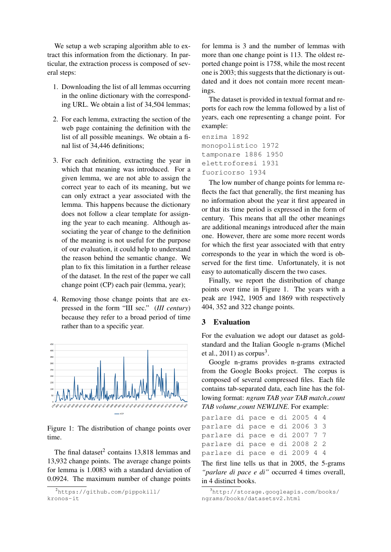We setup a web scraping algorithm able to extract this information from the dictionary. In particular, the extraction process is composed of several steps:

- 1. Downloading the list of all lemmas occurring in the online dictionary with the corresponding URL. We obtain a list of 34,504 lemmas;
- 2. For each lemma, extracting the section of the web page containing the definition with the list of all possible meanings. We obtain a final list of 34,446 definitions;
- 3. For each definition, extracting the year in which that meaning was introduced. For a given lemma, we are not able to assign the correct year to each of its meaning, but we can only extract a year associated with the lemma. This happens because the dictionary does not follow a clear template for assigning the year to each meaning. Although associating the year of change to the definition of the meaning is not useful for the purpose of our evaluation, it could help to understand the reason behind the semantic change. We plan to fix this limitation in a further release of the dataset. In the rest of the paper we call change point (CP) each pair (lemma, year);
- 4. Removing those change points that are expressed in the form "III sec." (*III century*) because they refer to a broad period of time rather than to a specific year.



Figure 1: The distribution of change points over time.

The final dataset<sup>2</sup> contains 13,818 lemmas and 13,932 change points. The average change points for lemma is 1.0083 with a standard deviation of 0.0924. The maximum number of change points

for lemma is 3 and the number of lemmas with more than one change point is 113. The oldest reported change point is 1758, while the most recent one is 2003; this suggests that the dictionary is outdated and it does not contain more recent meanings.

The dataset is provided in textual format and reports for each row the lemma followed by a list of years, each one representing a change point. For example:

```
enzima 1892
monopolistico 1972
tamponare 1886 1950
elettroforesi 1931
fuoricorso 1934
```
The low number of change points for lemma reflects the fact that generally, the first meaning has no information about the year it first appeared in or that its time period is expressed in the form of century. This means that all the other meanings are additional meanings introduced after the main one. However, there are some more recent words for which the first year associated with that entry corresponds to the year in which the word is observed for the first time. Unfortunately, it is not easy to automatically discern the two cases.

Finally, we report the distribution of change points over time in Figure 1. The years with a peak are 1942, 1905 and 1869 with respectively 404, 352 and 322 change points.

### 3 Evaluation

For the evaluation we adopt our dataset as goldstandard and the Italian Google n-grams (Michel et al.,  $2011$ ) as corpus<sup>3</sup>.

Google n-grams provides n-grams extracted from the Google Books project. The corpus is composed of several compressed files. Each file contains tab-separated data, each line has the following format: *ngram TAB year TAB match count TAB volume count NEWLINE*. For example:

```
parlare di pace e di 2005 4 4
parlare di pace e di 2006 3 3
parlare di pace e di 2007 7 7
parlare di pace e di 2008 2 2
parlare di pace e di 2009 4 4
```
The first line tells us that in 2005, the 5-grams *"parlare di pace e di"* occurred 4 times overall, in 4 distinct books.

<sup>2</sup>https://github.com/pippokill/ kronos-it

<sup>3</sup>http://storage.googleapis.com/books/ ngrams/books/datasetsv2.html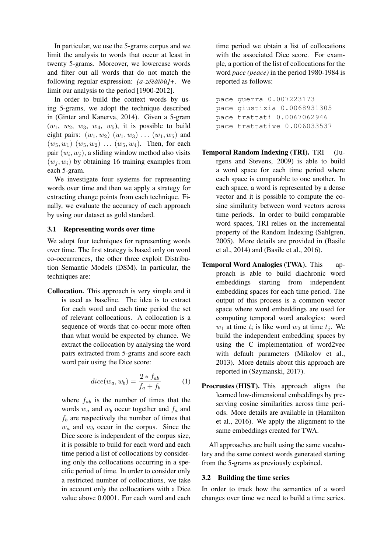In particular, we use the 5-grams corpus and we limit the analysis to words that occur at least in twenty 5-grams. Moreover, we lowercase words and filter out all words that do not match the following regular expression:  $[a-z\acute{e}\acute{e}\acute{a}i\grave{o}u]$ +. We limit our analysis to the period [1900-2012].

In order to build the context words by using 5-grams, we adopt the technique described in (Ginter and Kanerva, 2014). Given a 5-gram  $(w_1, w_2, w_3, w_4, w_5)$ , it is possible to build eight pairs:  $(w_1, w_2)$   $(w_1, w_3)$   $\dots$   $(w_1, w_5)$  and  $(w_5, w_1)$   $(w_5, w_2)$  ...  $(w_5, w_4)$ . Then, for each pair  $(w_i, w_j)$ , a sliding window method also visits  $(w_i, w_i)$  by obtaining 16 training examples from each 5-gram.

We investigate four systems for representing words over time and then we apply a strategy for extracting change points from each technique. Finally, we evaluate the accuracy of each approach by using our dataset as gold standard.

### 3.1 Representing words over time

We adopt four techniques for representing words over time. The first strategy is based only on word co-occurrences, the other three exploit Distribution Semantic Models (DSM). In particular, the techniques are:

Collocation. This approach is very simple and it is used as baseline. The idea is to extract for each word and each time period the set of relevant collocations. A collocation is a sequence of words that co-occur more often than what would be expected by chance. We extract the collocation by analysing the word pairs extracted from 5-grams and score each word pair using the Dice score:

$$
dice(w_a, w_b) = \frac{2 * f_{ab}}{f_a + f_b} \tag{1}
$$

where  $f_{ab}$  is the number of times that the words  $w_a$  and  $w_b$  occur together and  $f_a$  and  $f_b$  are respectively the number of times that  $w_a$  and  $w_b$  occur in the corpus. Since the Dice score is independent of the corpus size, it is possible to build for each word and each time period a list of collocations by considering only the collocations occurring in a specific period of time. In order to consider only a restricted number of collocations, we take in account only the collocations with a Dice value above 0.0001. For each word and each time period we obtain a list of collocations with the associated Dice score. For example, a portion of the list of collocations for the word *pace (peace)* in the period 1980-1984 is reported as follows:

pace guerra 0.007223173 pace giustizia 0.0068931305 pace trattati 0.0067062946 pace trattative 0.006033537

- Temporal Random Indexing (TRI). TRI (Jurgens and Stevens, 2009) is able to build a word space for each time period where each space is comparable to one another. In each space, a word is represented by a dense vector and it is possible to compute the cosine similarity between word vectors across time periods. In order to build comparable word spaces, TRI relies on the incremental property of the Random Indexing (Sahlgren, 2005). More details are provided in (Basile et al., 2014) and (Basile et al., 2016).
- Temporal Word Analogies (TWA). This approach is able to build diachronic word embeddings starting from independent embedding spaces for each time period. The output of this process is a common vector space where word embeddings are used for computing temporal word analogies: word  $w_1$  at time  $t_i$  is like word  $w_2$  at time  $t_j$ . We build the independent embedding spaces by using the C implementation of word2vec with default parameters (Mikolov et al., 2013). More details about this approach are reported in (Szymanski, 2017).
- Procrustes (HIST). This approach aligns the learned low-dimensional embeddings by preserving cosine similarities across time periods. More details are available in (Hamilton et al., 2016). We apply the alignment to the same embeddings created for TWA.

All approaches are built using the same vocabulary and the same context words generated starting from the 5-grams as previously explained.

#### 3.2 Building the time series

In order to track how the semantics of a word changes over time we need to build a time series.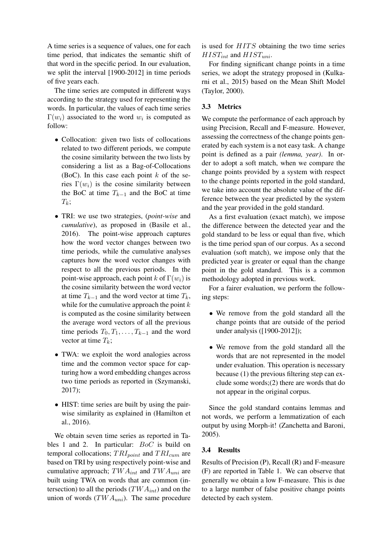A time series is a sequence of values, one for each time period, that indicates the semantic shift of that word in the specific period. In our evaluation, we split the interval [1900-2012] in time periods of five years each.

The time series are computed in different ways according to the strategy used for representing the words. In particular, the values of each time series  $\Gamma(w_i)$  associated to the word  $w_i$  is computed as follow:

- Collocation: given two lists of collocations related to two different periods, we compute the cosine similarity between the two lists by considering a list as a Bag-of-Collocations (BoC). In this case each point  $k$  of the series  $\Gamma(w_i)$  is the cosine similarity between the BoC at time  $T_{k-1}$  and the BoC at time  $T_k$ ;
- TRI: we use two strategies, (*point-wise* and *cumulative*), as proposed in (Basile et al., 2016). The point-wise approach captures how the word vector changes between two time periods, while the cumulative analyses captures how the word vector changes with respect to all the previous periods. In the point-wise approach, each point k of  $\Gamma(w_i)$  is the cosine similarity between the word vector at time  $T_{k-1}$  and the word vector at time  $T_k$ , while for the cumulative approach the point  $k$ is computed as the cosine similarity between the average word vectors of all the previous time periods  $T_0, T_1, \ldots, T_{k-1}$  and the word vector at time  $T_k$ ;
- TWA: we exploit the word analogies across time and the common vector space for capturing how a word embedding changes across two time periods as reported in (Szymanski, 2017);
- HIST: time series are built by using the pairwise similarity as explained in (Hamilton et al., 2016).

We obtain seven time series as reported in Tables 1 and 2. In particular: BoC is build on temporal collocations;  $TRI_{point}$  and  $TRI_{cum}$  are based on TRI by using respectively point-wise and cumulative approach;  $TWA_{int}$  and  $TWA_{uni}$  are built using TWA on words that are common (intersection) to all the periods  $(TWA_{int})$  and on the union of words  $(TWA_{uni})$ . The same procedure is used for  $HITS$  obtaining the two time series  $HIST_{int}$  and  $HIST_{uni}$ .

For finding significant change points in a time series, we adopt the strategy proposed in (Kulkarni et al., 2015) based on the Mean Shift Model (Taylor, 2000).

# 3.3 Metrics

We compute the performance of each approach by using Precision, Recall and F-measure. However, assessing the correctness of the change points generated by each system is a not easy task. A change point is defined as a pair *(lemma, year)*. In order to adopt a soft match, when we compare the change points provided by a system with respect to the change points reported in the gold standard, we take into account the absolute value of the difference between the year predicted by the system and the year provided in the gold standard.

As a first evaluation (exact match), we impose the difference between the detected year and the gold standard to be less or equal than five, which is the time period span of our corpus. As a second evaluation (soft match), we impose only that the predicted year is greater or equal than the change point in the gold standard. This is a common methodology adopted in previous work.

For a fairer evaluation, we perform the following steps:

- We remove from the gold standard all the change points that are outside of the period under analysis ([1900-2012]);
- We remove from the gold standard all the words that are not represented in the model under evaluation. This operation is necessary because (1) the previous filtering step can exclude some words;(2) there are words that do not appear in the original corpus.

Since the gold standard contains lemmas and not words, we perform a lemmatization of each output by using Morph-it! (Zanchetta and Baroni, 2005).

### 3.4 Results

Results of Precision (P), Recall (R) and F-measure (F) are reported in Table 1. We can observe that generally we obtain a low F-measure. This is due to a large number of false positive change points detected by each system.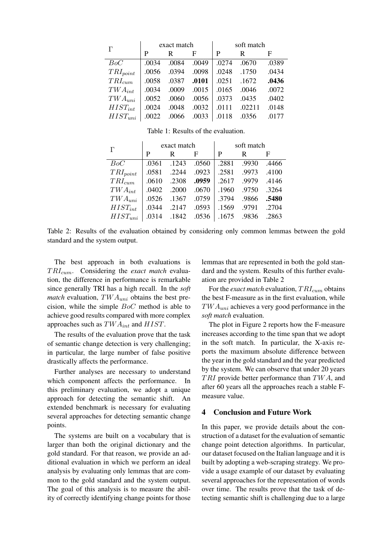| $\Gamma$      | exact match |       |       | soft match |        |       |
|---------------|-------------|-------|-------|------------|--------|-------|
|               | P           | R     | F     | P          | R      | F     |
| BoC           | .0034       | .0084 | .0049 | .0274      | .0670  | .0389 |
| $TRI_{point}$ | .0056       | .0394 | .0098 | .0248      | .1750  | .0434 |
| $TRI_{cum}$   | .0058       | .0387 | .0101 | .0251      | .1672  | .0436 |
| $TWA_{int}$   | .0034       | .0009 | .0015 | .0165      | .0046  | .0072 |
| $TWA_{uni}$   | .0052       | .0060 | .0056 | .0373      | .0435  | .0402 |
| $HIST_{int}$  | .0024       | .0048 | .0032 | .0111      | .02211 | .0148 |
| $HIST_{uni}$  | .0022       | .0066 | .0033 | .0118      | .0356  | .0177 |

Table 1: Results of the evaluation.

| $\Gamma$      | exact match |       |       | soft match |       |       |
|---------------|-------------|-------|-------|------------|-------|-------|
|               | P           | R     | F     | P          | R     | F     |
| BoC           | .0361       | .1243 | .0560 | .2881      | .9930 | .4466 |
| $TRI_{point}$ | .0581       | .2244 | .0923 | .2581      | .9973 | .4100 |
| $TRI_{cum}$   | .0610       | .2308 | .0959 | .2617      | .9979 | .4146 |
| $TWA_{int}$   | .0402       | .2000 | .0670 | .1960      | .9750 | .3264 |
| $TWA_{uni}$   | .0526       | .1367 | .0759 | .3794      | .9866 | .5480 |
| $HIST_{int}$  | .0344       | .2147 | .0593 | .1569      | .9791 | .2704 |
| $HIST_{uni}$  | .0314       | .1842 | .0536 | .1675      | .9836 | .2863 |

Table 2: Results of the evaluation obtained by considering only common lemmas between the gold standard and the system output.

The best approach in both evaluations is TRI<sub>cum</sub>. Considering the *exact match* evaluation, the difference in performance is remarkable since generally TRI has a high recall. In the *soft match* evaluation,  $TWA_{uni}$  obtains the best precision, while the simple BoC method is able to achieve good results compared with more complex approaches such as  $TWA_{int}$  and  $HIST$ .

The results of the evaluation prove that the task of semantic change detection is very challenging; in particular, the large number of false positive drastically affects the performance.

Further analyses are necessary to understand which component affects the performance. In this preliminary evaluation, we adopt a unique approach for detecting the semantic shift. An extended benchmark is necessary for evaluating several approaches for detecting semantic change points.

The systems are built on a vocabulary that is larger than both the original dictionary and the gold standard. For that reason, we provide an additional evaluation in which we perform an ideal analysis by evaluating only lemmas that are common to the gold standard and the system output. The goal of this analysis is to measure the ability of correctly identifying change points for those

lemmas that are represented in both the gold standard and the system. Results of this further evaluation are provided in Table 2

For the *exact match* evaluation,  $TRI_{cum}$  obtains the best F-measure as in the first evaluation, while  $TWA_{uni}$  achieves a very good performance in the *soft match* evaluation.

The plot in Figure 2 reports how the F-measure increases according to the time span that we adopt in the soft match. In particular, the X-axis reports the maximum absolute difference between the year in the gold standard and the year predicted by the system. We can observe that under 20 years  $TRI$  provide better performance than  $TWA$ , and after 60 years all the approaches reach a stable Fmeasure value.

# 4 Conclusion and Future Work

In this paper, we provide details about the construction of a dataset for the evaluation of semantic change point detection algorithms. In particular, our dataset focused on the Italian language and it is built by adopting a web-scraping strategy. We provide a usage example of our dataset by evaluating several approaches for the representation of words over time. The results prove that the task of detecting semantic shift is challenging due to a large